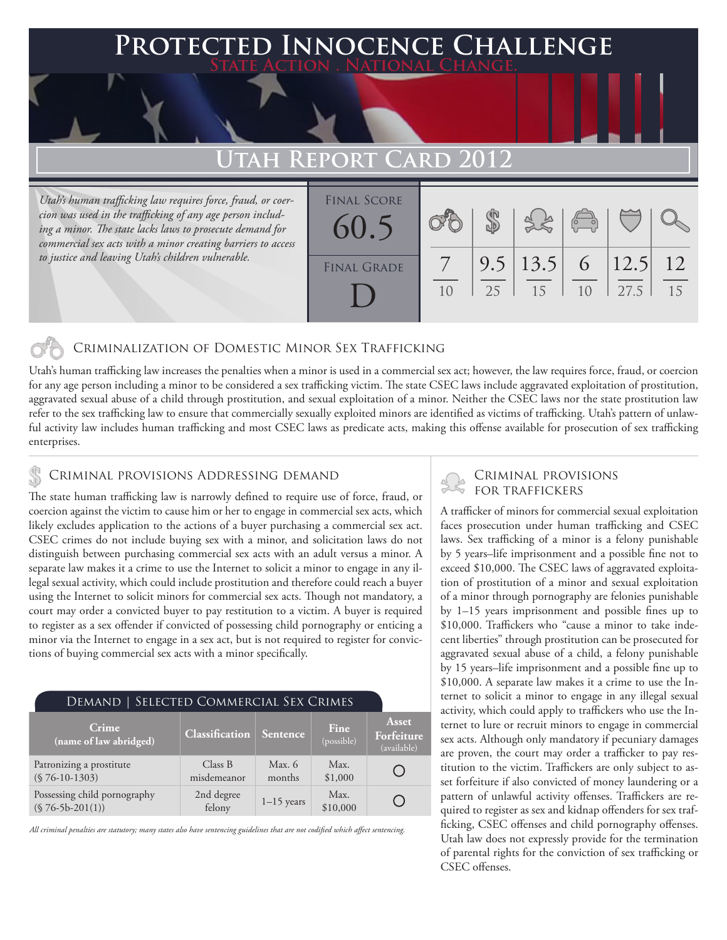### **PTED INNOCENCE CHALLENGE State Action . National Change.**

## **Utah Report Card 2012**

*Utah's human trafficking law requires force, fraud, or coercion was used in the trafficking of any age person including a minor. The state lacks laws to prosecute demand for commercial sex acts with a minor creating barriers to access to justice and leaving Utah's children vulnerable.* 

| <b>FINAL SCORE</b><br>60.5 |    |                        | $\begin{pmatrix} 0 & 0 \\ 0 & 0 \end{pmatrix}$ |               |          |
|----------------------------|----|------------------------|------------------------------------------------|---------------|----------|
| <b>FINAL GRADE</b>         | 25 | $9.5$   13.5   6<br>15 | 1 <sub>0</sub>                                 | 12.5 <br>27.5 | 12<br>15 |

#### Criminalization of Domestic Minor Sex Trafficking

Utah's human trafficking law increases the penalties when a minor is used in a commercial sex act; however, the law requires force, fraud, or coercion for any age person including a minor to be considered a sex trafficking victim. The state CSEC laws include aggravated exploitation of prostitution, aggravated sexual abuse of a child through prostitution, and sexual exploitation of a minor. Neither the CSEC laws nor the state prostitution law refer to the sex trafficking law to ensure that commercially sexually exploited minors are identified as victims of trafficking. Utah's pattern of unlawful activity law includes human trafficking and most CSEC laws as predicate acts, making this offense available for prosecution of sex trafficking enterprises.

#### Criminal provisions Addressing demand

The state human trafficking law is narrowly defined to require use of force, fraud, or coercion against the victim to cause him or her to engage in commercial sex acts, which likely excludes application to the actions of a buyer purchasing a commercial sex act. CSEC crimes do not include buying sex with a minor, and solicitation laws do not distinguish between purchasing commercial sex acts with an adult versus a minor. A separate law makes it a crime to use the Internet to solicit a minor to engage in any illegal sexual activity, which could include prostitution and therefore could reach a buyer using the Internet to solicit minors for commercial sex acts. Though not mandatory, a court may order a convicted buyer to pay restitution to a victim. A buyer is required to register as a sex offender if convicted of possessing child pornography or enticing a minor via the Internet to engage in a sex act, but is not required to register for convictions of buying commercial sex acts with a minor specifically.

#### Demand | Selected Commercial Sex Crimes

| <b>Crime</b><br>$\overline{a}$ (name of law abridged) $\overline{a}$ | <b>Classification</b>  | <i><b>Sentence</b></i> | Fine<br>(possible) | Asset<br>Forfeiture<br>(available) |
|----------------------------------------------------------------------|------------------------|------------------------|--------------------|------------------------------------|
| Patronizing a prostitute<br>$(S 76-10-1303)$                         | Class B<br>misdemeanor | Max. $6$<br>months     | Max.<br>\$1,000    |                                    |
| Possessing child pornography<br>$(S 76-5b-201(1))$                   | 2nd degree<br>felony   | $1-15$ years           | Max.<br>\$10,000   |                                    |

*All criminal penalties are statutory; many states also have sentencing guidelines that are not codified which affect sentencing.* 

# Criminal provisions

A trafficker of minors for commercial sexual exploitation faces prosecution under human trafficking and CSEC laws. Sex trafficking of a minor is a felony punishable by 5 years–life imprisonment and a possible fine not to exceed \$10,000. The CSEC laws of aggravated exploitation of prostitution of a minor and sexual exploitation of a minor through pornography are felonies punishable by 1–15 years imprisonment and possible fines up to \$10,000. Traffickers who "cause a minor to take indecent liberties" through prostitution can be prosecuted for aggravated sexual abuse of a child, a felony punishable by 15 years–life imprisonment and a possible fine up to \$10,000. A separate law makes it a crime to use the Internet to solicit a minor to engage in any illegal sexual activity, which could apply to traffickers who use the Internet to lure or recruit minors to engage in commercial sex acts. Although only mandatory if pecuniary damages are proven, the court may order a trafficker to pay restitution to the victim. Traffickers are only subject to asset forfeiture if also convicted of money laundering or a pattern of unlawful activity offenses. Traffickers are required to register as sex and kidnap offenders for sex trafficking, CSEC offenses and child pornography offenses. Utah law does not expressly provide for the termination of parental rights for the conviction of sex trafficking or CSEC offenses.